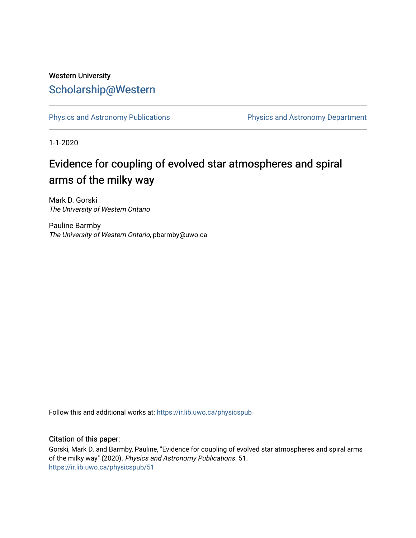## Western University [Scholarship@Western](https://ir.lib.uwo.ca/)

[Physics and Astronomy Publications](https://ir.lib.uwo.ca/physicspub) **Physics and Astronomy Department** 

1-1-2020

# Evidence for coupling of evolved star atmospheres and spiral arms of the milky way

Mark D. Gorski The University of Western Ontario

Pauline Barmby The University of Western Ontario, pbarmby@uwo.ca

Follow this and additional works at: [https://ir.lib.uwo.ca/physicspub](https://ir.lib.uwo.ca/physicspub?utm_source=ir.lib.uwo.ca%2Fphysicspub%2F51&utm_medium=PDF&utm_campaign=PDFCoverPages) 

## Citation of this paper:

Gorski, Mark D. and Barmby, Pauline, "Evidence for coupling of evolved star atmospheres and spiral arms of the milky way" (2020). Physics and Astronomy Publications. 51. [https://ir.lib.uwo.ca/physicspub/51](https://ir.lib.uwo.ca/physicspub/51?utm_source=ir.lib.uwo.ca%2Fphysicspub%2F51&utm_medium=PDF&utm_campaign=PDFCoverPages)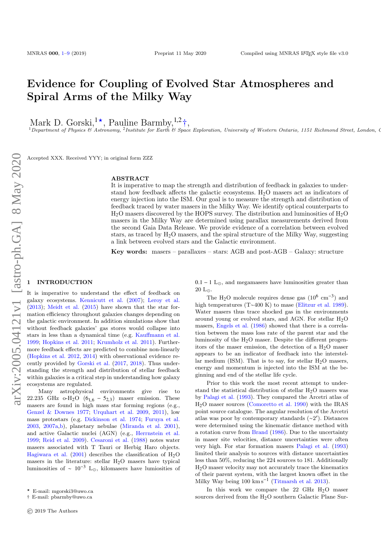## Evidence for Coupling of Evolved Star Atmospheres and Spiral Arms of the Milky Way

Mark D. Gorski,<sup>1\*</sup>, Pauline Barmby,<sup>1,2</sup><sup>+</sup>,<br><sup>1</sup> Department of Physics & Astronomy, <sup>2</sup> Institute for Earth & Space Exploration, University of Western Ontario, 1151 Richmond Street, London, C

Accepted XXX. Received YYY; in original form ZZZ

#### ABSTRACT

It is imperative to map the strength and distribution of feedback in galaxies to understand how feedback affects the galactic ecosystems. H2O masers act as indicators of energy injection into the ISM. Our goal is to measure the strength and distribution of feedback traced by water masers in the Milky Way. We identify optical counterparts to  $H<sub>2</sub>O$  masers discovered by the HOPS survey. The distribution and luminosities of  $H<sub>2</sub>O$ masers in the Milky Way are determined using parallax measurements derived from the second Gaia Data Release. We provide evidence of a correlation between evolved stars, as traced by  $H_2O$  masers, and the spiral structure of the Milky Way, suggesting a link between evolved stars and the Galactic environment.

Key words: masers – parallaxes – stars: AGB and post-AGB – Galaxy: structure

#### <span id="page-1-0"></span>**INTRODUCTION**

It is imperative to understand the effect of feedback on galaxy ecosystems. [Kennicutt et al.](#page-8-0) [\(2007\)](#page-8-0); [Leroy et al.](#page-8-1)  $(2013)$ ; [Meidt et al.](#page-8-2)  $(2015)$  have shown that the star formation efficiency throughout galaxies changes depending on the galactic environment. In addition simulations show that without feedback galaxies' gas stores would collapse into stars in less than a dynamical time (e.g. [Kauffmann et al.](#page-8-3) [1999;](#page-8-3) [Hopkins et al.](#page-8-4) [2011;](#page-8-4) [Krumholz et al.](#page-8-5) [2011\)](#page-8-5). Furthermore feedback effects are predicted to combine non-linearly [\(Hopkins et al.](#page-8-6) [2012,](#page-8-6) [2014\)](#page-8-7) with observational evidence recently provided by [Gorski et al.](#page-8-8) [\(2017,](#page-8-8) [2018\)](#page-8-9). Thus understanding the strength and distribution of stellar feedback within galaxies is a critical step in understanding how galaxy ecosystems are regulated.

Many astrophysical environments give rise to 22.235 GHz o-H<sub>2</sub>O ( $6_{1,6}$  –  $5_{2,3}$ ) maser emission. These masers are found in high mass star forming regions (e.g., [Genzel & Downes](#page-8-10) [1977;](#page-8-10) [Urquhart et al.](#page-8-11) [2009,](#page-8-11) [2011\)](#page-8-12), low mass protostars (e.g. [Dickinson et al.](#page-8-13) [1974;](#page-8-13) [Furuya et al.](#page-8-14) [2003,](#page-8-14) [2007a,](#page-8-15)[b\)](#page-8-16), planetary nebulae [\(Miranda et al.](#page-8-17) [2001\)](#page-8-17), and active Galactic nuclei (AGN) (e.g., [Herrnstein et al.](#page-8-18) [1999;](#page-8-18) [Reid et al.](#page-8-19) [2009\)](#page-8-19). [Cesaroni et al.](#page-8-20) [\(1988\)](#page-8-20) notes water masers associated with T Tauri or Herbig Haro objects. [Hagiwara et al.](#page-8-21) [\(2001\)](#page-8-21) describes the classification of  $H_2O$ masers in the literature: stellar  $H<sub>2</sub>O$  masers have typical luminosities of ~  $10^{-3}$  L<sub>☉</sub>, kilomasers have lumiosities of  $0.1 - 1$  L<sub> $\odot$ </sub>, and megamasers have luminosities greater than  $20$   $\mathrm{L}_\odot.$ 

The H<sub>2</sub>O molecule requires dense gas  $(10^6 \text{ cm}^{-3})$  and high temperatures (T∼400 K) to mase [\(Elitzur et al.](#page-8-22) [1989\)](#page-8-22). Water masers thus trace shocked gas in the environments around young or evolved stars, and AGN. For stellar  $H_2O$ masers, [Engels et al.](#page-8-23) [\(1986\)](#page-8-23) showed that there is a correlation between the mass loss rate of the parent star and the luminosity of the  $H<sub>2</sub>O$  maser. Despite the different progenitors of the maser emission, the detection of a  $H<sub>2</sub>O$  maser appears to be an indicator of feedback into the interstellar medium (ISM). That is to say, for stellar  $H_2O$  masers, energy and momentum is injected into the ISM at the beginning and end of the stellar life cycle.

Prior to this work the most recent attempt to understand the statistical distribution of stellar  $H_2O$  masers was by [Palagi et al.](#page-8-24) [\(1993\)](#page-8-24). They compared the Arcetri atlas of H2O maser sources [\(Comoretto et al.](#page-8-25) [1990\)](#page-8-25) with the IRAS point source catalogue. The angular resolution of the Arcetri atlas was poor by contemporary standards (∼2 0 ). Distances were determined using the kinematic distance method with a rotation curve from [Brand](#page-8-26) [\(1986\)](#page-8-26). Due to the uncertainty in maser site velocities, distance uncertainties were often very high. For star formation masers [Palagi et al.](#page-8-24) [\(1993\)](#page-8-24) limited their analysis to sources with distance uncertainties less than 50%, reducing the 224 sources to 181. Additionally  $H<sub>2</sub>O$  maser velocity may not accurately trace the kinematics of their parent system, with the largest known offset in the Milky Way being 100 km s−<sup>1</sup> [\(Titmarsh et al.](#page-8-27) [2013\)](#page-8-27).

In this work we compare the  $22$  GHz  $H<sub>2</sub>O$  maser sources derived from the  $H_2O$  southern Galactic Plane Sur-

<sup>?</sup> E-mail: mgorski3@uwo.ca

<sup>†</sup> E-mail: pbarmby@uwo.ca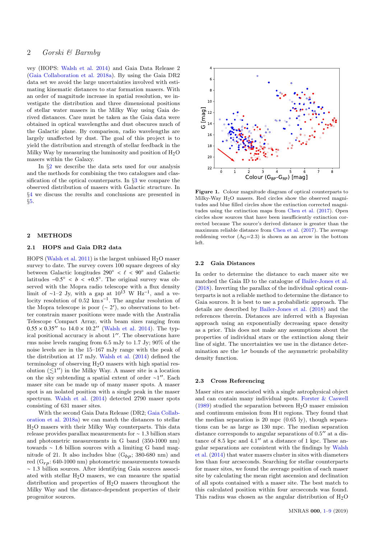### 2 Gorski & Barmby

vey (HOPS: [Walsh et al.](#page-8-28) [2014\)](#page-8-28) and Gaia Data Release 2 [\(Gaia Collaboration et al.](#page-8-29) [2018a\)](#page-8-29). By using the Gaia DR2 data set we avoid the large uncertainties involved with estimating kinematic distances to star formation masers. With an order of magnitude increase in spatial resolution, we investigate the distribution and three dimensional positions of stellar water masers in the Milky Way using Gaia derived distances. Care must be taken as the Gaia data were obtained in optical wavelengths and dust obscures much of the Galactic plane. By comparison, radio wavelengths are largely unaffected by dust. The goal of this project is to yield the distribution and strength of stellar feedback in the Milky Way by measuring the luminosity and position of  $H_2O$ masers within the Galaxy.

In §[2](#page-2-0) we describe the data sets used for our analysis and the methods for combining the two catalogues and classification of the optical counterparts. In §[3](#page-6-0) we compare the observed distribution of masers with Galactic structure. In §[4](#page-7-1) we discuss the results and conclusions are presented in §[5.](#page-7-0)

#### <span id="page-2-0"></span>2 METHODS

#### 2.1 HOPS and Gaia DR2 data

HOPS [\(Walsh et al.](#page-8-30) [2011\)](#page-8-30) is the largest unbiased  $H_2O$  maser survey to date. The survey covers 100 square degrees of sky between Galactic longitudes 290° <  $\ell$  < 90° and Galactic latitudes  $-0.5^{\circ} < b < +0.5^{\circ}$ . The original survey was observed with the Monra radio telescone with a flux density served with the Mopra radio telescope with a flux density limit of ~1–2 Jy, with a gap at  $10^{13}$  W Hz<sup>-1</sup>, and a velocity resolution of  $0.52 \text{ km s}^{-1}$ . The angular resolution of the Mopra telescope is poor  $(~ 2')$ , so observations to better constrain maser positions were made with the Australia Telescope Compact Array, with beam sizes ranging from  $0.55 \times 0.35''$  to  $14.0 \times 10.2''$  [\(Walsh et al.](#page-8-28) [2014\)](#page-8-28). The typical positional accuracy is about  $1''$ . The observations have rms noise levels ranging from 6.5 mJy to 1.7 Jy; 90% of the noise levels are in the 15–167 mJy range with the peak of the distribution at 17 mJy. [Walsh et al.](#page-8-28) [\(2014\)](#page-8-28) defined the terminology of observing  $H_2O$  masers with high spatial resolution  $(\leq 1'')$  in the Milky Way. A maser site is a location on the sky subtending a spatial extent of order ∼1". Each maser site can be made up of many maser spots. A maser spot is an isolated position with a single peak in the maser spectrum. [Walsh et al.](#page-8-28) [\(2014\)](#page-8-28) detected 2790 maser spots consisting of 631 maser sites.

With the second Gaia Data Release (DR2; [Gaia Collab](#page-8-29)[oration et al.](#page-8-29) [2018a\)](#page-8-29) we can match the distances to stellar H2O masers with their Milky Way counterparts. This data release provides parallax measurements for <sup>∼</sup> <sup>1</sup>.<sup>3</sup> billion stars and photometric measurements in G band (350-1000 nm) towards <sup>∼</sup> <sup>1</sup>.<sup>6</sup> billion sources with a limiting G band magnitude of 21. It also includes blue  $(G_{bp}; 380-680 \text{ nm})$  and red  $(G<sub>rp</sub>: 640-1000 nm)$  photometric measurements towards <sup>∼</sup> <sup>1</sup>.<sup>3</sup> billion sources. After identifying Gaia sources associated with stellar H<sub>2</sub>O masers, we can measure the spatial distribution and properties of  $H_2O$  masers throughout the Milky Way and the distance-dependent properties of their progenitor sources.



<span id="page-2-1"></span>Figure 1. Colour magnitude diagram of optical counterparts to Milky-Way H<sub>2</sub>O masers. Red circles show the observed magnitudes and blue filled circles show the extinction corrected magnitudes using the extinction maps from [Chen et al.](#page-8-31) [\(2017\)](#page-8-31). Open circles show sources that have been insufficiently extinction corrected because The source's derived distance is greater than the maximum reliable distance from [Chen et al.](#page-8-31) [\(2017\)](#page-8-31). The average reddening vector  $(A_G=2.3)$  is shown as an arrow in the bottom left.

#### 2.2 Gaia Distances

In order to determine the distance to each maser site we matched the Gaia ID to the catalogue of [Bailer-Jones et al.](#page-8-32) [\(2018\)](#page-8-32). Inverting the parallax of the individual optical counterparts is not a reliable method to determine the distance to Gaia sources. It is best to use a probabilistic approach. The details are described by [Bailer-Jones et al.](#page-8-32) [\(2018\)](#page-8-32) and the references therein. Distances are inferred with a Bayesian approach using an exponentially decreasing space density as a prior. This does not make any assumptions about the properties of individual stars or the extinction along their line of sight. The uncertainties we use in the distance determination are the  $1\sigma$  bounds of the asymmetric probability density function.

#### 2.3 Cross Referencing

Maser sites are associated with a single astrophysical object and can contain many individual spots. [Forster & Caswell](#page-8-33) [\(1989\)](#page-8-33) studied the separation between  $H_2O$  maser emission and continuum emission from H ii regions. They found that the median separation is 20 mpc  $(0.65 \text{ ly})$ , though separations can be as large as 130 mpc. The median separation distance corresponds to angular separations of  $0.5$ <sup> $\prime\prime$ </sup> at a distance of 8.5 kpc and  $4.1''$  at a distance of 1 kpc. These angular separations are consistent with the findings by [Walsh](#page-8-28) [et al.](#page-8-28) [\(2014\)](#page-8-28) that water masers cluster in sites with diameters less than four arcseconds. Searching for stellar counterparts for maser sites, we found the average position of each maser site by calculating the mean right ascension and declination of all spots contained with a maser site. The best match to this calculated position within four arcseconds was found. This radius was chosen as the angular distribution of  $H_2O$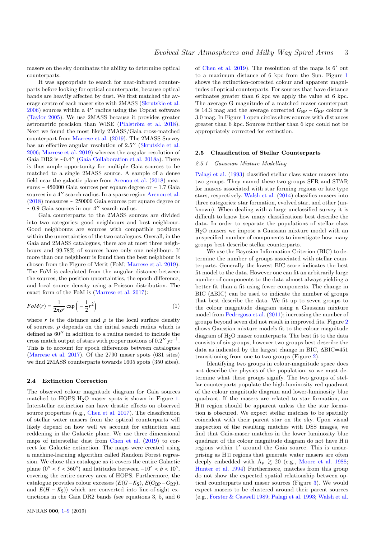masers on the sky dominates the ability to determine optical counterparts.

It was appropriate to search for near-infrared counterparts before looking for optical counterparts, because optical bands are heavily affected by dust. We first matched the average centre of each maser site with 2MASS [\(Skrutskie et al.](#page-8-34)  $2006$ ) sources within a 4" radius using the Topcat software [\(Taylor](#page-8-35) [2005\)](#page-8-35). We use 2MASS because it provides greater astrometric precision than WISE (Pihlström et al. [2018\)](#page-8-36). Next we found the most likely 2MASS/Gaia cross-matched counterpart from [Marrese et al.](#page-8-37) [\(2019\)](#page-8-37). The 2MASS Survey has an effective angular resolution of 2.5" [\(Skrutskie et al.](#page-8-34) [2006;](#page-8-34) [Marrese et al.](#page-8-37) [2019\)](#page-8-37) whereas the angular resolution of Gaia DR2 is ~0.4" [\(Gaia Collaboration et al.](#page-8-29) [2018a\)](#page-8-29). There is thus ample opportunity for multiple Gaia sources to be matched to a single 2MASS source. A sample of a dense field near the galactic plane from [Arenou et al.](#page-8-38) [\(2018\)](#page-8-38) measures <sup>∼</sup> <sup>450000</sup> Gaia sources per square degree or <sup>∼</sup> <sup>1</sup>.<sup>7</sup> Gaia sources in a 4" search radius. In a sparse region [Arenou et al.](#page-8-38) [\(2018\)](#page-8-38) measures ∼ 250000 Gaia sources per square degree or  $~\sim 0.9$  Gaia sources in our 4″ search radius.

Gaia counterparts to the 2MASS sources are divided into two categories: good neighbours and best neighbour. Good neighbours are sources with compatible positions within the uncertainties of the two catalogues. Overall, in the Gaia and 2MASS catalogues, there are at most three neighbours and 99.78% of sources have only one neighbour. If more than one neighbour is found then the best neighbour is chosen from the Figure of Merit (FoM; [Marrese et al.](#page-8-37) [2019\)](#page-8-37). The FoM is calculated from the angular distance between the sources, the position uncertainties, the epoch difference, and local source density using a Poisson distribution. The exact form of the FoM is [\(Marrese et al.](#page-8-39) [2017\)](#page-8-39):

$$
FoM(r) = \frac{1}{2\pi\rho'} \exp\left(-\frac{1}{2}r^2\right)
$$
 (1)

where  $r$  is the distance and  $\rho$  is the local surface density of sources.  $\rho$  depends on the initial search radius which is defined as  $60''$  in addition to a radius needed to include the cross match output of stars with proper motions of  $0.2''$  yr<sup>-1</sup>. This is to account for epoch differences between catalogues [\(Marrese et al.](#page-8-39) [2017\)](#page-8-39). Of the 2790 maser spots (631 sites) we find 2MASS counterparts towards 1605 spots (350 sites).

#### 2.4 Extinction Correction

The observed colour magnitude diagram for Gaia sources matched to HOPS  $H<sub>2</sub>O$  maser spots is shown in Figure [1.](#page-2-1) Interstellar extinction can have drastic effects on observed source properties (e.g., [Chen et al.](#page-8-31) [2017\)](#page-8-31). The classification of stellar water masers from the optical counterparts will likely depend on how well we account for extinction and reddening in the Galactic plane. We use three dimensional maps of interstellar dust from [Chen et al.](#page-8-40) [\(2019\)](#page-8-40) to correct for Galactic extinction. The maps were created using a machine-learning algorithm called Random Forest regression. We chose this catalogue as it covers the entire Galactic plane  $(0^\circ < \ell < 360^\circ)$  and latitudes between  $-10^\circ < b < 10^\circ$ , covering the entire survey area of HOPS. Eurthermore, the covering the entire survey area of HOPS. Furthermore, the catalogue provides colour excesses  $(E(G - K_S), E(G_{BP} - G_{RP}),$ and  $E(H - K<sub>S</sub>)$ ) which are converted into line-of-sight extinctions in the Gaia DR2 bands (see equations 3, 5, and 6

of [Chen et al.](#page-8-40) [2019\)](#page-8-40). The resolution of the maps is  $6'$  out to a maximum distance of 6 kpc from the Sun. Figure [1](#page-2-1) shows the extinction-corrected colour and apparent magnitudes of optical counterparts. For sources that have distance estimates greater than 6 kpc we apply the value at 6 kpc. The average G magnitude of a matched maser counterpart is 14.3 mag and the average corrected  $G_{\rm BP} - G_{\rm RP}$  colour is 3.0 mag. In Figure [1](#page-2-1) open circles show sources with distances greater than 6 kpc. Sources further than 6 kpc could not be appropriately corrected for extinction.

#### 2.5 Classification of Stellar Counterparts

#### 2.5.1 Gaussian Mixture Modelling

[Palagi et al.](#page-8-24) [\(1993\)](#page-8-24) classified stellar class water masers into two groups. They named these two groups SFR and STAR for masers associated with star forming regions or late type stars, respectively. [Walsh et al.](#page-8-28) [\(2014\)](#page-8-28) classifies masers into three categories: star formation, evolved star, and other (unknown). When dealing with a large unclassified survey it is difficult to know how many classifications best describe the data. In order to separate the populations of stellar class H2O masers we impose a Gaussian mixture model with an unspecified number of components to investigate how many groups best describe stellar counterparts.

We use the Bayesian Information Criterion (BIC) to determine the number of groups associated with stellar counterparts. Generally the lowest BIC score indicates the best fit model to the data. However one can fit an arbitrarily large number of components to the data almost always yielding a better fit than a fit using fewer components. The change in BIC (∆BIC) can be used to indicate the number of groups that best describe the data. We fit up to seven groups to the colour magnitude diagram using a Gaussian mixture model from [Pedregosa et al.](#page-8-41) [\(2011\)](#page-8-41); increasing the number of groups beyond seven did not result in improved fits. Figure [2](#page-4-0) shows Gaussian mixture models fit to the colour magnitude diagram of H2O maser counterparts. The best fit to the data consists of six groups, however two groups best describe the data as indicated by the largest change in BIC, ∆BIC=451 transitioning from one to two groups (Figure [2\)](#page-4-0).

Identifying two groups in colour-magnitude space does not describe the physics of the population, so we must determine what these groups signify. The two groups of stellar counterparts populate the high-luminosity red quadrant of the colour magnitude diagram and lower-luminosity blue quadrant. If the masers are related to star formation, an H<sub>II</sub> region should be apparent unless the the star formation is obscured. We expect stellar matches to be spatially coincident with their parent star on the sky. Upon visual inspection of the resulting matches with DSS images, we find that Gaia-maser matches in the lower luminosity blue quadrant of the colour magnitude diagram do not have H ii regions within  $1'$  around the Gaia source. This is unsurprising as H ii regions that generate water masers are often deeply embedded with  $A_v \ge 20$  (e.g., [Moore et al.](#page-8-42) [1988;](#page-8-42) [Hunter et al.](#page-8-43) [1994\)](#page-8-43) Furthermore, matches from this group do not show the expected spatial relationship between optical counterparts and maser sources (Figure [3\)](#page-5-0). We would expect masers to be clustered around their parent sources (e.g., [Forster & Caswell](#page-8-33) [1989;](#page-8-33) [Palagi et al.](#page-8-24) [1993;](#page-8-24) [Walsh et al.](#page-8-28)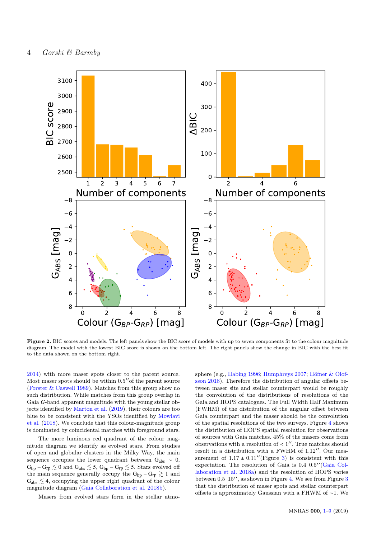

Figure 2. BIC scores and models. The left panels show the BIC score of models with up to seven components fit to the colour magnitude diagram. The model with the lowest BIC score is shown on the bottom left. The right panels show the change in BIC with the best fit to the data shown on the bottom right.

[2014\)](#page-8-28) with more maser spots closer to the parent source. Most maser spots should be within  $0.5''$  of the parent source [\(Forster & Caswell](#page-8-33) [1989\)](#page-8-33). Matches from this group show no such distribution. While matches from this group overlap in Gaia *G*-band apparent magnitude with the young stellar objects identified by [Marton et al.](#page-8-44) [\(2019\)](#page-8-44), their colours are too blue to be consistent with the YSOs identified by [Mowlavi](#page-8-45) [et al.](#page-8-45) [\(2018\)](#page-8-45). We conclude that this colour-magnitude group is dominated by coincidental matches with foreground stars.

The more luminous red quadrant of the colour magnitude diagram we identify as evolved stars. From studies of open and globular clusters in the Milky Way, the main sequence occupies the lower quadrant between  $G_{abs} \sim 0$ ,  $G_{bp} - G_{rp} \lesssim 0$  and  $G_{abs} \lesssim 5,$   $G_{bp} - G_{rp} \lesssim 5.$  Stars evolved off the main sequence generally occupy the  $G_{bp} - G_{rp} \gtrsim 1$  and  $G_{\text{abs}} \lesssim 4$ , occupying the upper right quadrant of the colour magnitude diagram [\(Gaia Collaboration et al.](#page-8-46) [2018b\)](#page-8-46).

Masers from evolved stars form in the stellar atmo-

<span id="page-4-0"></span>sphere (e.g., [Habing](#page-8-47) [1996;](#page-8-47) [Humphreys](#page-8-48) [2007;](#page-8-48) Höfner & Olof[sson](#page-8-49) [2018\)](#page-8-49). Therefore the distribution of angular offsets between maser site and stellar counterpart would be roughly the convolution of the distributions of resolutions of the Gaia and HOPS catalogues. The Full Width Half Maximum (FWHM) of the distribution of the angular offset between Gaia counterpart and the maser should be the convolution of the spatial resolutions of the two surveys. Figure [4](#page-5-1) shows the distribution of HOPS spatial resolution for observations of sources with Gaia matches. 45% of the masers come from observations with a resolution of  $\lt 1''$ . True matches should<br>result in a distribution with a EWHM of  $1.12''$ . Our mea result in a distribution with a FWHM of  $1.12''$ . Our measurement of  $1.17 \pm 0.11''$  (Figure [3\)](#page-5-0) is consistent with this expectation. The resolution of Gaia is  $0.4-0.5''$  [\(Gaia Col](#page-8-29)[laboration et al.](#page-8-29) [2018a\)](#page-8-29) and the resolution of HOPS varies between  $0.5-15$ ", as shown in Figure [4.](#page-5-1) We see from Figure [3](#page-5-0) that the distribution of maser spots and stellar counterpart offsets is approximately Gaussian with a FHWM of ∼1. We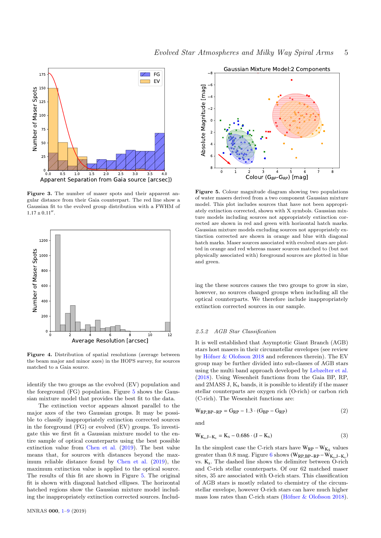

Figure 3. The number of maser spots and their apparent angular distance from their Gaia counterpart. The red line show a Gaussian fit to the evolved group distribution with a FWHM of  $1.17 \pm 0.11''$ .



Figure 4. Distribution of spatial resolutions (average between the beam major and minor axes) in the HOPS survey, for sources matched to a Gaia source.

identify the two groups as the evolved (EV) population and the foreground (FG) population. Figure [5](#page-5-2) shows the Gaussian mixture model that provides the best fit to the data.

The extinction vector appears almost parallel to the major axes of the two Gaussian groups. It may be possible to classify inappropriately extinction corrected sources in the foreground (FG) or evolved (EV) groups. To investigate this we first fit a Gaussian mixture model to the entire sample of optical counterparts using the best possible extinction value from [Chen et al.](#page-8-40) [\(2019\)](#page-8-40). The best value means that, for sources with distances beyond the maximum reliable distance found by [Chen et al.](#page-8-40) [\(2019\)](#page-8-40), the maximum extinction value is applied to the optical source. The results of this fit are shown in Figure [5.](#page-5-2) The original fit is shown with diagonal hatched ellipses. The horizontal hatched regions show the Gaussian mixture model including the inappropriately extinction corrected sources. Includ-



<span id="page-5-2"></span><span id="page-5-0"></span>Figure 5. Colour magnitude diagram showing two populations of water masers derived from a two component Gaussian mixture model. This plot includes sources that have not been appropriately extinction corrected, shown with X symbols. Gaussian mixture models including sources not appropriately extinction corrected are shown in red and green with horizontal hatch marks. Gaussian mixture models excluding sources not appropriately extinction corrected are shown in orange and blue with diagonal hatch marks. Maser sources associated with evolved stars are plotted in orange and red whereas maser sources matched to (but not physically associated with) foreground sources are plotted in blue and green.

ing the these sources causes the two groups to grow in size, however, no sources changed groups when including all the optical counterparts. We therefore include inappropriately extinction corrected sources in our sample.

#### 2.5.2 AGB Star Classification

<span id="page-5-1"></span>It is well established that Asymptotic Giant Branch (AGB) stars host masers in their circumstellar envelopes (see review by Höfner  $&$  Olofsson [2018](#page-8-49) and references therein). The EV group may be further divided into sub-classes of AGB stars using the multi band approach developed by [Lebzelter et al.](#page-8-50) [\(2018\)](#page-8-50). Using Wesenheit functions from the Gaia BP, RP, and  $2MASS$  J,  $K_s$  bands, it is possible to identify if the maser stellar counterparts are oxygen rich (O-rich) or carbon rich (C-rich). The Wesenheit functions are:

$$
W_{RP, BP-RP} = G_{RP} - 1.3 \cdot (G_{BP} - G_{RP})
$$
\n
$$
\tag{2}
$$

and

$$
W_{K_s, J-K_s} = K_s - 0.686 \cdot (J - K_s)
$$
 (3)

In the simplest case the C-rich stars have  $\rm W_{RP}-W_{K_S}$  values greater than 0.8 mag. Figure [6](#page-6-1) shows  $(W_{RP, BP-RP} - W_{K_s, J-K_s})$ <br>ws K The dashed line shows the delimiter between O rich vs. Ks. The dashed line shows the delimiter between O-rich and C-rich stellar counterparts. Of our 62 matched maser sites, 35 are associated with O-rich stars. This classification of AGB stars is mostly related to chemistry of the circumstellar envelope, however O-rich stars can have much higher mass loss rates than C-rich stars (Höfner  $&$  Olofsson [2018\)](#page-8-49).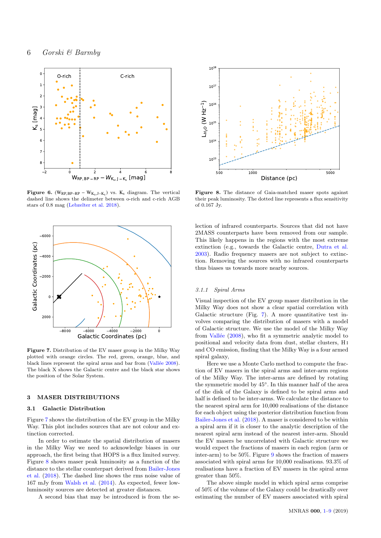

**Figure 6.** (W<sub>RP,BP</sub>-RP – W<sub>Ks</sub>,J-<sub>Ks</sub>) vs. K<sub>s</sub> diagram. The vertical deched line change the deliminator between a righ and a righ  $\Lambda$ CD dashed line shows the delimeter between o-rich and c-rich AGB stars of 0.8 mag [\(Lebzelter et al.](#page-8-50) [2018\)](#page-8-50).



Figure 7. Distribution of the EV maser group in the Milky Way plotted with orange circles. The red, green, orange, blue, and black lines represent the spiral arms and bar from (Vallée [2008\)](#page-8-51). The black X shows the Galactic centre and the black star shows the position of the Solar System.

#### <span id="page-6-0"></span>3 MASER DISTRIBUTIONS

### 3.1 Galactic Distribution

Figure [7](#page-6-2) shows the distribution of the EV group in the Milky Way. This plot includes sources that are not colour and extinction corrected.

In order to estimate the spatial distribution of masers in the Milky Way we need to acknowledge biases in our approach, the first being that HOPS is a flux limited survey. Figure [8](#page-6-3) shows maser peak luminosity as a function of the distance to the stellar counterpart derived from [Bailer-Jones](#page-8-32) [et al.](#page-8-32) [\(2018\)](#page-8-32). The dashed line shows the rms noise value of 167 mJy from [Walsh et al.](#page-8-28) [\(2014\)](#page-8-28). As expected, fewer lowluminosity sources are detected at greater distances.

A second bias that may be introduced is from the se-



<span id="page-6-3"></span><span id="page-6-1"></span>Figure 8. The distance of Gaia-matched maser spots against their peak luminosity. The dotted line represents a flux sensitivity of 0.167 Jy.

lection of infrared counterparts. Sources that did not have 2MASS counterparts have been removed from our sample. This likely happens in the regions with the most extreme extinction (e.g., towards the Galactic centre, [Dutra et al.](#page-8-52) [2003\)](#page-8-52). Radio frequency masers are not subject to extinction. Removing the sources with no infrared counterparts thus biases us towards more nearby sources.

#### 3.1.1 Spiral Arms

Visual inspection of the EV group maser distribution in the Milky Way does not show a clear spatial correlation with Galactic structure (Fig. [7\)](#page-6-2). A more quantitative test involves comparing the distribution of masers with a model of Galactic structure. We use the model of the Milky Way from Vallée  $(2008)$ , who fit a symmetric analytic model to positional and velocity data from dust, stellar clusters, H i and CO emission, finding that the Milky Way is a four armed spiral galaxy,

<span id="page-6-2"></span>Here we use a Monte Carlo method to compute the fraction of EV masers in the spiral arms and inter-arm regions of the Milky Way. The inter-arms are defined by rotating the symmetric model by 45◦ . In this manner half of the area of the disk of the Galaxy is defined to be spiral arms and half is defined to be inter-arms. We calculate the distance to the nearest spiral arm for 10,000 realisations of the distance for each object using the posterior distribution function from [Bailer-Jones et al.](#page-8-32) [\(2018\)](#page-8-32). A maser is considered to be within a spiral arm if it is closer to the analytic description of the nearest spiral arm instead of the nearest inter-arm. Should the EV masers be uncorrelated with Galactic structure we would expect the fractions of masers in each region (arm or inter-arm) to be 50%. Figure [9](#page-7-2) shows the fraction of masers associated with spiral arms for 10,000 realisations. 93.3% of realisations have a fraction of EV masers in the spiral arms greater than 50%.

The above simple model in which spiral arms comprise of 50% of the volume of the Galaxy could be drastically over estimating the number of EV masers associated with spiral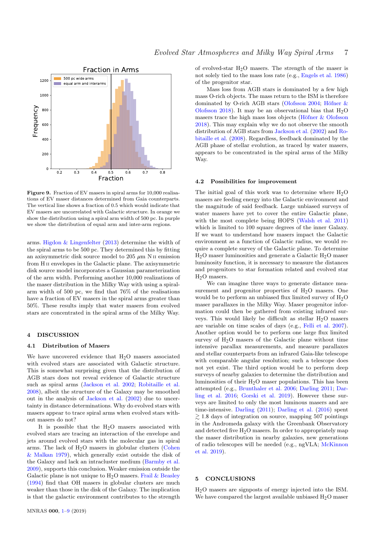



Figure 9. Fraction of EV masers in spiral arms for 10,000 realisations of EV maser distances determined from Gaia counterparts. The vertical line shows a fraction of 0.5 which would indicate that EV masers are uncorrelated with Galactic structure. In orange we show the distribution using a spiral arm width of 500 pc. In purple we show the distribution of equal arm and inter-arm regions.

arms. [Higdon & Lingenfelter](#page-8-53) [\(2013\)](#page-8-53) determine the width of the spiral arms to be 500 pc. They determined this by fitting an axisymmetric disk source model to 205  $\mu$ m N II emission from H II envelopes in the Galactic plane. The axisymmetric disk source model incorporates a Gaussian parameterization of the arm width. Performing another 10,000 realizations of the maser distribution in the Milky Way with using a spiralarm width of 500 pc, we find that 76% of the realisations have a fraction of EV masers in the spiral arms greater than 50%. These results imply that water masers from evolved stars are concentrated in the spiral arms of the Milky Way.

#### <span id="page-7-1"></span>4 DISCUSSION

#### 4.1 Distribution of Masers

We have uncovered evidence that  $H<sub>2</sub>O$  masers associated with evolved stars are associated with Galactic structure. This is somewhat surprising given that the distribution of AGB stars does not reveal evidence of Galactic structure such as spiral arms [\(Jackson et al.](#page-8-54) [2002;](#page-8-54) [Robitaille et al.](#page-8-55) [2008\)](#page-8-55), albeit the structure of the Galaxy may be smoothed out in the analysis of [Jackson et al.](#page-8-54) [\(2002\)](#page-8-54) due to uncertainty in distance determinations. Why do evolved stars with masers appear to trace spiral arms when evolved stars without masers do not?

It is possible that the  $H_2O$  masers associated with evolved stars are tracing an interaction of the envelope and jets around evolved stars with the molecular gas in spiral arms. The lack of  $H<sub>2</sub>O$  masers in globular clusters [\(Cohen](#page-8-56) [& Malkan](#page-8-56) [1979\)](#page-8-56), which generally exist outside the disk of the Galaxy and lack an intracluster medium [\(Barmby et al.](#page-8-57) [2009\)](#page-8-57), supports this conclusion. Weaker emission outside the Galactic plane is not unique to  $H_2O$  masers. [Frail & Beasley](#page-8-58) [\(1994\)](#page-8-58) find that OH masers in globular clusters are much weaker than those in the disk of the Galaxy. The implication is that the galactic environment contributes to the strength

of evolved-star  $H_2O$  masers. The strength of the maser is not solely tied to the mass loss rate (e.g., [Engels et al.](#page-8-23) [1986\)](#page-8-23) of the progenitor star.

Mass loss from AGB stars is dominated by a few high mass O-rich objects. The mass return to the ISM is therefore dominated by O-rich AGB stars [\(Olofsson](#page-8-59) [2004;](#page-8-59) Höfner & [Olofsson](#page-8-49) [2018\)](#page-8-49). It may be an observational bias that  $H_2O$ masers trace the high mass loss objects (Höfner  $&$  Olofsson [2018\)](#page-8-49). This may explain why we do not observe the smooth distribution of AGB stars from [Jackson et al.](#page-8-54) [\(2002\)](#page-8-54) and [Ro](#page-8-55)[bitaille et al.](#page-8-55) [\(2008\)](#page-8-55). Regardless, feedback dominated by the AGB phase of stellar evolution, as traced by water masers, appears to be concentrated in the spiral arms of the Milky Way.

#### <span id="page-7-2"></span>4.2 Possibilities for improvement

The initial goal of this work was to determine where  $H_2O$ masers are feeding energy into the Galactic environment and the magnitude of said feedback. Large unbiased surveys of water masers have yet to cover the entire Galactic plane, with the most complete being HOPS [\(Walsh et al.](#page-8-30) [2011\)](#page-8-30) which is limited to 100 square degrees of the inner Galaxy. If we want to understand how masers impact the Galactic environment as a function of Galactic radius, we would require a complete survey of the Galactic plane. To determine  $H<sub>2</sub>O$  maser luminosities and generate a Galactic  $H<sub>2</sub>O$  maser luminosity function, it is necessary to measure the distances and progenitors to star formation related and evolved star H<sub>2</sub>O masers.

We can imagine three ways to generate distance measurement and progenitor properties of  $H<sub>2</sub>O$  masers. One would be to perform an unbiased flux limited survey of  $H<sub>2</sub>O$ maser parallaxes in the Milky Way. Maser progenitor information could then be gathered from existing infrared surveys. This would likely be difficult as stellar  $H_2O$  masers are variable on time scales of days (e.g., [Felli et al.](#page-8-60) [2007\)](#page-8-60). Another option would be to perform one large flux limited survey of  $H_2O$  masers of the Galactic plane without time intensive parallax measurements, and measure parallaxes and stellar counterparts from an infrared Gaia-like telescope with comparable angular resolution; such a telescope does not yet exist. The third option would be to perform deep surveys of nearby galaxies to determine the distribution and luminosities of their  $H_2O$  maser populations. This has been attempted (e.g., [Brunthaler et al.](#page-8-61) [2006;](#page-8-61) [Darling](#page-8-62) [2011;](#page-8-62) [Dar](#page-8-63)[ling et al.](#page-8-63) [2016;](#page-8-63) [Gorski et al.](#page-8-64) [2019\)](#page-8-64). However these surveys are limited to only the most luminous masers and are time-intensive. [Darling](#page-8-62) [\(2011\)](#page-8-62); [Darling et al.](#page-8-63) [\(2016\)](#page-8-63) spent  $\gtrsim$  1.8 days of integration on source, mapping 507 pointings in the Andromeda galaxy with the Greenbank Observatory and detected five  $H_2O$  masers. In order to appropriately map the maser distribution in nearby galaxies, new generations of radio telescopes will be needed (e.g., ngVLA; [McKinnon](#page-8-65) [et al.](#page-8-65) [2019\)](#page-8-65).

#### <span id="page-7-0"></span>5 CONCLUSIONS

H2O masers are signposts of energy injected into the ISM. We have compared the largest available unbiased  $H_2O$  maser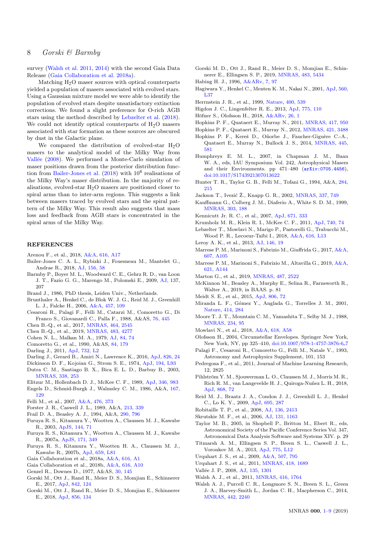## 8 Gorski & Barmby

survey [\(Walsh et al.](#page-8-30) [2011,](#page-8-30) [2014\)](#page-8-28) with the second Gaia Data Release [\(Gaia Collaboration et al.](#page-8-29) [2018a\)](#page-8-29).

Matching  $H<sub>2</sub>O$  maser sources with optical counterparts yielded a population of masers associated with evolved stars. Using a Gaussian mixture model we were able to identify the population of evolved stars despite unsatisfactory extinction corrections. We found a slight preference for O-rich AGB stars using the method described by [Lebzelter et al.](#page-8-50) [\(2018\)](#page-8-50). We could not identify optical counterparts of  $H_2O$  masers associated with star formation as these sources are obscured by dust in the Galactic plane.

We compared the distribution of evolved-star  $H<sub>2</sub>O$ masers to the analytical model of the Milky Way from Vallée [\(2008\)](#page-8-51). We performed a Monte-Carlo simulation of maser positions drawn from the posterior distribution func-tion from [Bailer-Jones et al.](#page-8-32)  $(2018)$  with  $10<sup>4</sup>$  realisations of the Milky Way's maser distribution. In the majority of realisations, evolved-star  $H_2O$  masers are positioned closer to spiral arms than to inter-arm regions. This suggests a link between masers traced by evolved stars and the spiral pattern of the Milky Way. This result also suggests that mass loss and feedback from AGB stars is concentrated in the spiral arms of the Milky Way.

#### REFERENCES

- <span id="page-8-38"></span>Arenou F., et al., 2018, [A&A,](http://dx.doi.org/10.1051/0004-6361/201833234) [616, A17](https://ui.adsabs.harvard.edu/abs/2018A&A...616A..17A)
- <span id="page-8-32"></span>Bailer-Jones C. A. L., Rybizki J., Fouesneau M., Mantelet G., Andrae R., 2018, [AJ,](http://dx.doi.org/10.3847/1538-3881/aacb21) [156, 58](http://adsabs.harvard.edu/abs/2018AJ....156...58B)
- <span id="page-8-57"></span>Barmby P., Boyer M. L., Woodward C. E., Gehrz R. D., van Loon J. T., Fazio G. G., Marengo M., Polomski E., 2009, [AJ,](http://dx.doi.org/10.1088/0004-6256/137/1/207) 137, 207
- <span id="page-8-26"></span>Brand J., 1986, PhD thesis, Leiden Univ., Netherlands.
- <span id="page-8-61"></span>Brunthaler A., Henkel C., de Blok W. J. G., Reid M. J., Greenhill L. J., Falcke H., 2006, [A&A,](http://dx.doi.org/10.1051/0004-6361:20065650) [457, 109](https://ui.adsabs.harvard.edu/abs/2006A&A...457..109B)
- <span id="page-8-20"></span>Cesaroni R., Palagi F., Felli M., Catarzi M., Comoretto G., Di Franco S., Giovanardi C., Palla F., 1988, A&AS, [76, 445](https://ui.adsabs.harvard.edu/abs/1988A&AS...76..445C)
- <span id="page-8-31"></span>Chen B.-Q., et al., 2017, [MNRAS,](http://dx.doi.org/10.1093/mnras/stw2497) [464, 2545](http://adsabs.harvard.edu/abs/2017MNRAS.464.2545C)
- <span id="page-8-40"></span>Chen B.-Q., et al., 2019, [MNRAS,](http://dx.doi.org/10.1093/mnras/sty3341) [483, 4277](http://adsabs.harvard.edu/abs/2019MNRAS.483.4277C)
- <span id="page-8-56"></span>Cohen N. L., Malkan M. A., 1979, [AJ,](http://dx.doi.org/10.1086/112390) [84, 74](https://ui.adsabs.harvard.edu/abs/1979AJ.....84...74C)
- <span id="page-8-25"></span>Comoretto G., et al., 1990, A&AS, [84, 179](http://adsabs.harvard.edu/abs/1990A%26AS...84..179C)
- <span id="page-8-62"></span>Darling J., 2011, [ApJ,](http://dx.doi.org/10.1088/2041-8205/732/1/L2) [732, L2](https://ui.adsabs.harvard.edu/abs/2011ApJ...732L...2D)
- <span id="page-8-63"></span>Darling J., Gerard B., Amiri N., Lawrence K., 2016, [ApJ,](http://dx.doi.org/10.3847/0004-637X/826/1/24) [826, 24](https://ui.adsabs.harvard.edu/abs/2016ApJ...826...24D)
- <span id="page-8-52"></span><span id="page-8-13"></span>Dickinson D. F., Kojoian G., Strom S. E., 1974, [ApJ,](http://dx.doi.org/10.1086/181677) [194, L93](http://adsabs.harvard.edu/abs/1974ApJ...194L..93D) Dutra C. M., Santiago B. X., Bica E. L. D., Barbuy B., 2003,
- [MNRAS,](http://dx.doi.org/10.1046/j.1365-8711.2003.06049.x) [338, 253](https://ui.adsabs.harvard.edu/abs/2003MNRAS.338..253D) Elitzur M., Hollenbach D. J., McKee C. F., 1989, [ApJ,](http://dx.doi.org/10.1086/168080) [346, 983](http://adsabs.harvard.edu/abs/1989ApJ...346..983E)
- <span id="page-8-23"></span><span id="page-8-22"></span>Engels D., Schmid-Burgk J., Walmsley C. M., 1986, A&A, [167,](http://adsabs.harvard.edu/abs/1986A%26A...167..129E)
- [129](http://adsabs.harvard.edu/abs/1986A%26A...167..129E)
- <span id="page-8-60"></span>Felli M., et al., 2007, [A&A,](http://dx.doi.org/10.1051/0004-6361:20077804) [476, 373](https://ui.adsabs.harvard.edu/abs/2007A&A...476..373F)
- <span id="page-8-33"></span>Forster J. R., Caswell J. L., 1989, A&A, [213, 339](http://adsabs.harvard.edu/abs/1989A%26A...213..339F)
- <span id="page-8-58"></span>Frail D. A., Beasley A. J., 1994, A&A, [290, 796](https://ui.adsabs.harvard.edu/abs/1994A&A...290..796F)
- <span id="page-8-14"></span>Furuya R. S., Kitamura Y., Wootten A., Claussen M. J., Kawabe R., 2003, [ApJS,](http://dx.doi.org/10.1086/342749) [144, 71](http://adsabs.harvard.edu/abs/2003ApJS..144...71F)
- <span id="page-8-15"></span>Furuya R. S., Kitamura Y., Wootten A., Claussen M. J., Kawabe R., 2007a, [ApJS,](http://dx.doi.org/10.1086/516825) [171, 349](http://adsabs.harvard.edu/abs/2007ApJS..171..349F)
- <span id="page-8-16"></span>Furuya R. S., Kitamura Y., Wootten H. A., Claussen M. J., Kawabe R., 2007b, [ApJ,](http://dx.doi.org/10.1086/516822) [659, L81](http://adsabs.harvard.edu/abs/2007ApJ...659L..81F)
- <span id="page-8-29"></span>Gaia Collaboration et al., 2018a, [A&A,](http://dx.doi.org/10.1051/0004-6361/201833051) [616, A1](http://adsabs.harvard.edu/abs/2018A%26A...616A...1G)
- <span id="page-8-46"></span>Gaia Collaboration et al., 2018b, [A&A,](http://dx.doi.org/10.1051/0004-6361/201832843) [616, A10](https://ui.adsabs.harvard.edu/abs/2018A&A...616A..10G)
- <span id="page-8-10"></span>Genzel R., Downes D., 1977, A&AS, [30, 145](http://adsabs.harvard.edu/abs/1977A%26AS...30..145G)
- <span id="page-8-8"></span>Gorski M., Ott J., Rand R., Meier D. S., Momjian E., Schinnerer E., 2017, [ApJ,](http://dx.doi.org/10.3847/1538-4357/aa74af) [842, 124](http://adsabs.harvard.edu/abs/2017ApJ...842..124G)
- <span id="page-8-9"></span>Gorski M., Ott J., Rand R., Meier D. S., Momjian E., Schinnerer E., 2018, [ApJ,](http://dx.doi.org/10.3847/1538-4357/aab3cc) [856, 134](http://adsabs.harvard.edu/abs/2018ApJ...856..134G)
- <span id="page-8-64"></span>Gorski M. D., Ott J., Rand R., Meier D. S., Momjian E., Schinnerer E., Ellingsen S. P., 2019, [MNRAS,](http://dx.doi.org/10.1093/mnras/sty3077) [483, 5434](http://adsabs.harvard.edu/abs/2019MNRAS.483.5434G)
- <span id="page-8-47"></span>Habing H. J., 1996, [A&ARv,](http://dx.doi.org/10.1007/PL00013287) [7, 97](https://ui.adsabs.harvard.edu/abs/1996A&ARv...7...97H)
- <span id="page-8-21"></span>Hagiwara Y., Henkel C., Menten K. M., Nakai N., 2001, [ApJ,](http://dx.doi.org/10.1086/324171) [560,](http://adsabs.harvard.edu/abs/2001ApJ...560L..37H) [L37](http://adsabs.harvard.edu/abs/2001ApJ...560L..37H)
- <span id="page-8-18"></span>Herrnstein J. R., et al., 1999, [Nature,](http://dx.doi.org/10.1038/22972) [400, 539](http://adsabs.harvard.edu/abs/1999Natur.400..539H)
- <span id="page-8-53"></span>Higdon J. C., Lingenfelter R. E., 2013, [ApJ,](http://dx.doi.org/10.1088/0004-637X/775/2/110) [775, 110](https://ui.adsabs.harvard.edu/abs/2013ApJ...775..110H)
- <span id="page-8-49"></span>Höfner S., Olofsson H., 2018, [A&ARv,](http://dx.doi.org/10.1007/s00159-017-0106-5) [26, 1](https://ui.adsabs.harvard.edu/abs/2018A&ARv..26....1H)
- <span id="page-8-4"></span>Hopkins P. F., Quataert E., Murray N., 2011, [MNRAS,](http://dx.doi.org/10.1111/j.1365-2966.2011.19306.x) [417, 950](http://adsabs.harvard.edu/abs/2011MNRAS.417..950H)
- <span id="page-8-6"></span>Hopkins P. F., Quataert E., Murray N., 2012, [MNRAS,](http://dx.doi.org/10.1111/j.1365-2966.2012.20578.x) [421, 3488](http://adsabs.harvard.edu/abs/2012MNRAS.421.3488H)
- <span id="page-8-7"></span>Hopkins P. F., Kereš D., Oñorbe J., Faucher-Giguère C.-A., Quataert E., Murray N., Bullock J. S., 2014, [MNRAS,](http://dx.doi.org/10.1093/mnras/stu1738) [445,](http://adsabs.harvard.edu/abs/2014MNRAS.445..581H) [581](http://adsabs.harvard.edu/abs/2014MNRAS.445..581H)
- <span id="page-8-48"></span>Humphreys E. M. L., 2007, in Chapman J. M., Baan W. A., eds, IAU Symposium Vol. 242, Astrophysical Masers and their Environments. pp  $471-480$   $(\text{arXiv}:0705.4456)$ , [doi:10.1017/S1743921307013622](http://dx.doi.org/10.1017/S1743921307013622)
- <span id="page-8-43"></span>Hunter T. R., Taylor G. B., Felli M., Tofani G., 1994, A&A, [284,](https://ui.adsabs.harvard.edu/abs/1994A&A...284..215H) [215](https://ui.adsabs.harvard.edu/abs/1994A&A...284..215H)
- <span id="page-8-54"></span>Jackson T., Ivezić Ž., Knapp G. R., 2002, [MNRAS,](http://dx.doi.org/10.1046/j.1365-8711.2002.05980.x) [337, 749](https://ui.adsabs.harvard.edu/abs/2002MNRAS.337..749J)
- <span id="page-8-3"></span>Kauffmann G., Colberg J. M., Diaferio A., White S. D. M., 1999, [MNRAS,](http://dx.doi.org/10.1046/j.1365-8711.1999.02202.x) [303, 188](http://adsabs.harvard.edu/abs/1999MNRAS.303..188K)
- <span id="page-8-0"></span>Kennicutt Jr. R. C., et al., 2007, [ApJ,](http://dx.doi.org/10.1086/522300) [671, 333](http://adsabs.harvard.edu/abs/2007ApJ...671..333K)
- <span id="page-8-5"></span>Krumholz M. R., Klein R. I., McKee C. F., 2011, [ApJ,](http://dx.doi.org/10.1088/0004-637X/740/2/74) [740, 74](http://adsabs.harvard.edu/abs/2011ApJ...740...74K)
- <span id="page-8-50"></span>Lebzelter T., Mowlavi N., Marigo P., Pastorelli G., Trabucchi M., Wood P. R., Lecoeur-Taïbi I., 2018, [A&A,](http://dx.doi.org/10.1051/0004-6361/201833615) [616, L13](https://ui.adsabs.harvard.edu/abs/2018A&A...616L..13L)
- <span id="page-8-1"></span>Leroy A. K., et al., 2013, [AJ,](http://dx.doi.org/10.1088/0004-6256/146/2/19) [146, 19](http://adsabs.harvard.edu/abs/2013AJ....146...19L)
- <span id="page-8-39"></span>Marrese P. M., Marinoni S., Fabrizio M., Giuffrida G., 2017, [A&A,](http://dx.doi.org/10.1051/0004-6361/201730965) [607, A105](http://adsabs.harvard.edu/abs/2017A%26A...607A.105M)
- <span id="page-8-37"></span>Marrese P. M., Marinoni S., Fabrizio M., Altavilla G., 2019, [A&A,](http://dx.doi.org/10.1051/0004-6361/201834142) [621, A144](http://adsabs.harvard.edu/abs/2019A%26A...621A.144M)
- <span id="page-8-44"></span>Marton G., et al., 2019, [MNRAS,](http://dx.doi.org/10.1093/mnras/stz1301) [487, 2522](https://ui.adsabs.harvard.edu/abs/2019MNRAS.487.2522M)
- <span id="page-8-65"></span>McKinnon M., Beasley A., Murphy E., Selina R., Farnsworth R., Walter A., 2019, in BAAS. p. 81
- <span id="page-8-2"></span>Meidt S. E., et al., 2015, [ApJ,](http://dx.doi.org/10.1088/0004-637X/806/1/72) [806, 72](http://adsabs.harvard.edu/abs/2015ApJ...806...72M)
- <span id="page-8-17"></span>Miranda L. F., Gómez Y., Anglada G., Torrelles J. M., 2001, [Nature,](http://dx.doi.org/10.1038/35104518) [414, 284](http://adsabs.harvard.edu/abs/2001Natur.414..284M)
- <span id="page-8-42"></span>Moore T. J. T., Mountain C. M., Yamashita T., Selby M. J., 1988, [MNRAS,](http://dx.doi.org/10.1093/mnras/234.1.95) [234, 95](https://ui.adsabs.harvard.edu/abs/1988MNRAS.234...95M)
- <span id="page-8-45"></span>Mowlavi N., et al., 2018, [A&A,](http://dx.doi.org/10.1051/0004-6361/201833366) [618, A58](https://ui.adsabs.harvard.edu/abs/2018A&A...618A..58M)
- <span id="page-8-59"></span>Olofsson H., 2004, Circumstellar Envelopes. Springer New York, New York, NY, pp 325-410, [doi:10.1007/978-1-4757-3876-6](http://dx.doi.org/10.1007/978-1-4757-3876-6_7)\_7
- <span id="page-8-24"></span>Palagi F., Cesaroni R., Comoretto G., Felli M., Natale V., 1993, Astronomy and Astrophysics Supplement, 101, 153
- <span id="page-8-41"></span>Pedregosa F., et al., 2011, Journal of Machine Learning Research, 12, 2825
- <span id="page-8-36"></span>Pihlström Y. M., Sjouwerman L. O., Claussen M. J., Morris M. R., Rich R. M., van Langevelde H. J., Quiroga-Nuñez L. H., 2018, [ApJ,](http://dx.doi.org/10.3847/1538-4357/aae77d) [868, 72](https://ui.adsabs.harvard.edu/abs/2018ApJ...868...72P)
- <span id="page-8-19"></span>Reid M. J., Braatz J. A., Condon J. J., Greenhill L. J., Henkel C., Lo K. Y., 2009, [ApJ,](http://dx.doi.org/10.1088/0004-637X/695/1/287) [695, 287](http://adsabs.harvard.edu/abs/2009ApJ...695..287R)
- <span id="page-8-55"></span>Robitaille T. P., et al., 2008, [AJ,](http://dx.doi.org/10.1088/0004-6256/136/6/2413) [136, 2413](https://ui.adsabs.harvard.edu/abs/2008AJ....136.2413R)
- <span id="page-8-34"></span>Skrutskie M. F., et al., 2006, [AJ,](http://dx.doi.org/10.1086/498708) [131, 1163](http://adsabs.harvard.edu/abs/2006AJ....131.1163S)
- <span id="page-8-35"></span>Taylor M. B., 2005, in Shopbell P., Britton M., Ebert R., eds, Astronomical Society of the Pacific Conference Series Vol. 347, Astronomical Data Analysis Software and Systems XIV. p. 29
- <span id="page-8-27"></span>Titmarsh A. M., Ellingsen S. P., Breen S. L., Caswell J. L., Voronkov M. A., 2013, [ApJ,](http://dx.doi.org/10.1088/2041-8205/775/1/L12) [775, L12](http://adsabs.harvard.edu/abs/2013ApJ...775L..12T)
- <span id="page-8-11"></span>Urquhart J. S., et al., 2009, [A&A,](http://dx.doi.org/10.1051/0004-6361/200912608) [507, 795](http://adsabs.harvard.edu/abs/2009A%26A...507..795U)
- <span id="page-8-12"></span>Urquhart J. S., et al., 2011, [MNRAS,](http://dx.doi.org/10.1111/j.1365-2966.2011.19594.x) [418, 1689](http://adsabs.harvard.edu/abs/2011MNRAS.418.1689U)
- <span id="page-8-51"></span>Vallée J. P., 2008, [AJ,](http://dx.doi.org/10.1088/0004-6256/135/4/1301) [135, 1301](http://adsabs.harvard.edu/abs/2008AJ....135.1301V)
- <span id="page-8-30"></span>Walsh A. J., et al., 2011, [MNRAS,](http://dx.doi.org/10.1111/j.1365-2966.2011.19115.x) [416, 1764](https://ui.adsabs.harvard.edu/abs/2011MNRAS.416.1764W)
- <span id="page-8-28"></span>Walsh A. J., Purcell C. R., Longmore S. N., Breen S. L., Green J. A., Harvey-Smith L., Jordan C. H., Macpherson C., 2014, [MNRAS,](http://dx.doi.org/10.1093/mnras/stu989) [442, 2240](https://ui.adsabs.harvard.edu/abs/2014MNRAS.442.2240W)